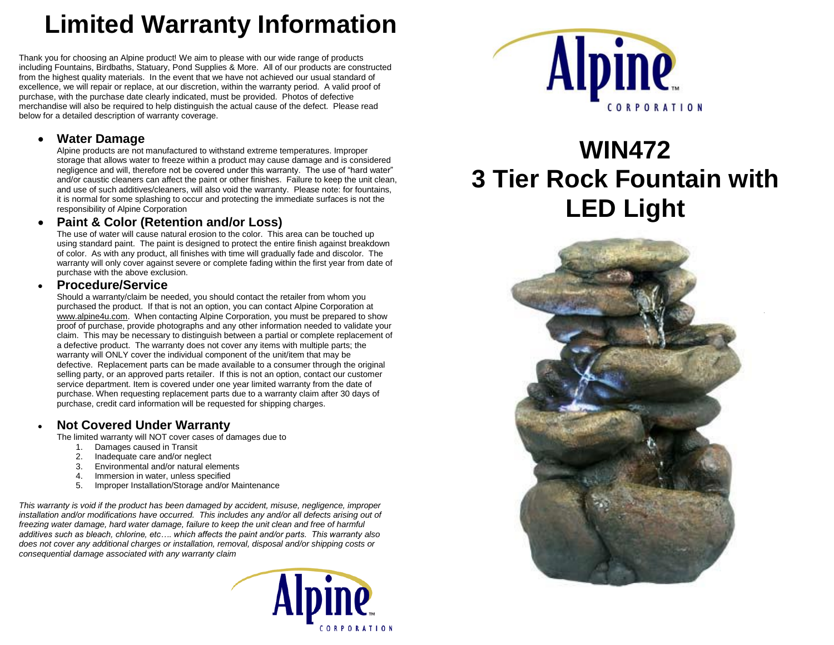# **Limited Warranty Information**

Thank you for choosing an Alpine product! We aim to please with our wide range of products including Fountains, Birdbaths, Statuary, Pond Supplies & More. All of our products are constructed from the highest quality materials. In the event that we have not achieved our usual standard of excellence, we will repair or replace, at our discretion, within the warranty period. A valid proof of purchase, with the purchase date clearly indicated, must be provided. Photos of defective merchandise will also be required to help distinguish the actual cause of the defect. Please read below for a detailed description of warranty coverage.

#### **Water Damage**

Alpine products are not manufactured to withstand extreme temperatures. Improper storage that allows water to freeze within a product may cause damage and is considered negligence and will, therefore not be covered under this warranty. The use of "hard water" and/or caustic cleaners can affect the paint or other finishes. Failure to keep the unit clean, and use of such additives/cleaners, will also void the warranty. Please note: for fountains, it is normal for some splashing to occur and protecting the immediate surfaces is not the responsibility of Alpine Corporation

#### **Paint & Color (Retention and/or Loss)**

The use of water will cause natural erosion to the color. This area can be touched up using standard paint. The paint is designed to protect the entire finish against breakdown of color. As with any product, all finishes with time will gradually fade and discolor. The warranty will only cover against severe or complete fading within the first year from date of purchase with the above exclusion.

#### **Procedure/Service**

Should a warranty/claim be needed, you should contact the retailer from whom you purchased the product. If that is not an option, you can contact Alpine Corporation at [www.alpine4u.com.](http://www.alpine4u.com/) When contacting Alpine Corporation, you must be prepared to show proof of purchase, provide photographs and any other information needed to validate your claim. This may be necessary to distinguish between a partial or complete replacement of a defective product. The warranty does not cover any items with multiple parts; the warranty will ONLY cover the individual component of the unit/item that may be defective. Replacement parts can be made available to a consumer through the original selling party, or an approved parts retailer. If this is not an option, contact our customer service department. Item is covered under one year limited warranty from the date of purchase. When requesting replacement parts due to a warranty claim after 30 days of purchase, credit card information will be requested for shipping charges.

## **Not Covered Under Warranty**

The limited warranty will NOT cover cases of damages due to

- 1. Damages caused in Transit
- 2. Inadequate care and/or neglect<br>3. Environmental and/or natural election
- Environmental and/or natural elements
- 4. Immersion in water, unless specified
- 5. Improper Installation/Storage and/or Maintenance

*This warranty is void if the product has been damaged by accident, misuse, negligence, improper installation and/or modifications have occurred. This includes any and/or all defects arising out of freezing water damage, hard water damage, failure to keep the unit clean and free of harmful additives such as bleach, chlorine, etc…. which affects the paint and/or parts. This warranty also does not cover any additional charges or installation, removal, disposal and/or shipping costs or consequential damage associated with any warranty claim*





# **WIN472 3 Tier Rock Fountain with LED Light**